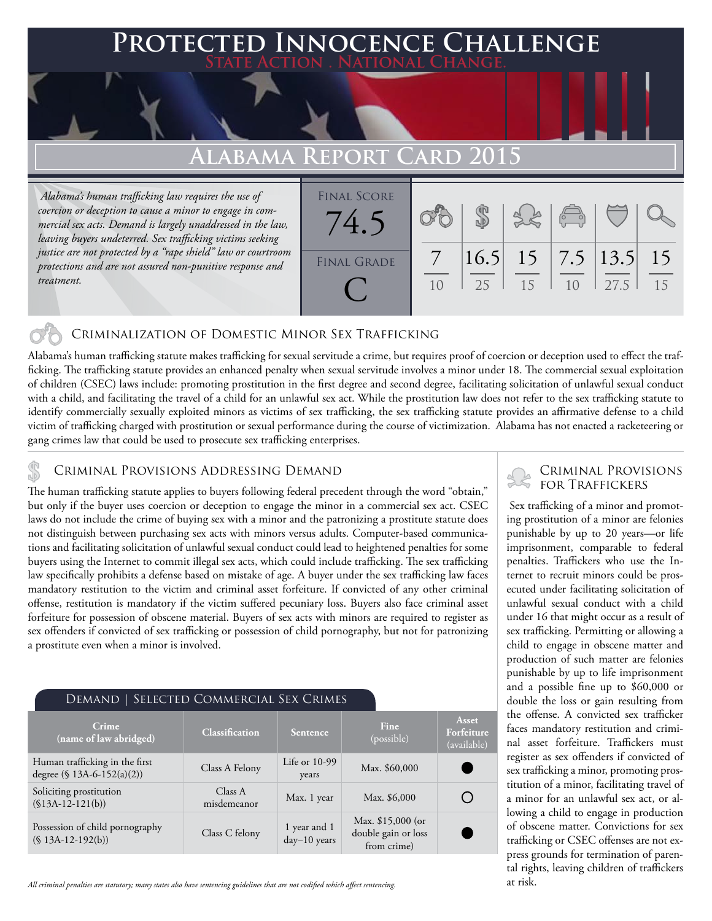# **Protected Innocence Challenge**

## **Alabama Report Card 2015**

 *Alabama's human trafficking law requires the use of coercion or deception to cause a minor to engage in commercial sex acts. Demand is largely unaddressed in the law, leaving buyers undeterred. Sex trafficking victims seeking justice are not protected by a "rape shield" law or courtroom protections and are not assured non-punitive response and treatment.*



#### Criminalization of Domestic Minor Sex Trafficking

Alabama's human trafficking statute makes trafficking for sexual servitude a crime, but requires proof of coercion or deception used to effect the trafficking. The trafficking statute provides an enhanced penalty when sexual servitude involves a minor under 18. The commercial sexual exploitation of children (CSEC) laws include: promoting prostitution in the first degree and second degree, facilitating solicitation of unlawful sexual conduct with a child, and facilitating the travel of a child for an unlawful sex act. While the prostitution law does not refer to the sex trafficking statute to identify commercially sexually exploited minors as victims of sex trafficking, the sex trafficking statute provides an affirmative defense to a child victim of trafficking charged with prostitution or sexual performance during the course of victimization. Alabama has not enacted a racketeering or gang crimes law that could be used to prosecute sex trafficking enterprises.

CRIMINAL PROVISIONS ADDRESSING DEMAND<br>The human trafficking statute applies to buyers following federal precedent through the word "obtain," FOR TRAFFICKERS but only if the buyer uses coercion or deception to engage the minor in a commercial sex act. CSEC laws do not include the crime of buying sex with a minor and the patronizing a prostitute statute does not distinguish between purchasing sex acts with minors versus adults. Computer-based communications and facilitating solicitation of unlawful sexual conduct could lead to heightened penalties for some buyers using the Internet to commit illegal sex acts, which could include trafficking. The sex trafficking law specifically prohibits a defense based on mistake of age. A buyer under the sex trafficking law faces mandatory restitution to the victim and criminal asset forfeiture. If convicted of any other criminal offense, restitution is mandatory if the victim suffered pecuniary loss. Buyers also face criminal asset forfeiture for possession of obscene material. Buyers of sex acts with minors are required to register as sex offenders if convicted of sex trafficking or possession of child pornography, but not for patronizing a prostitute even when a minor is involved.

| DEMAND   SELECTED COMMERCIAL SEX CRIMES                      |                        |                              |                                                         |                                    |
|--------------------------------------------------------------|------------------------|------------------------------|---------------------------------------------------------|------------------------------------|
| Crime<br>(name of law abridged)                              | <b>Classification</b>  | <b>Sentence</b>              | Fine<br>(possible)                                      | Asset<br>Forfeiture<br>(available) |
| Human trafficking in the first<br>degree (§ 13A-6-152(a)(2)) | Class A Felony         | Life or $10-99$<br>years     | Max. \$60,000                                           |                                    |
| Soliciting prostitution<br>$($13A-12-121(b))$                | Class A<br>misdemeanor | Max. 1 year                  | Max. \$6,000                                            |                                    |
| Possession of child pornography<br>$(S13A-12-192(b))$        | Class C felony         | 1 year and 1<br>day-10 years | Max. \$15,000 (or<br>double gain or loss<br>from crime) |                                    |

*All criminal penalties are statutory; many states also have sentencing guidelines that are not codified which affect sentencing.* 

# Criminal Provisions

 Sex trafficking of a minor and promoting prostitution of a minor are felonies punishable by up to 20 years—or life imprisonment, comparable to federal penalties. Traffickers who use the Internet to recruit minors could be prosecuted under facilitating solicitation of unlawful sexual conduct with a child under 16 that might occur as a result of sex trafficking. Permitting or allowing a child to engage in obscene matter and production of such matter are felonies punishable by up to life imprisonment and a possible fine up to \$60,000 or double the loss or gain resulting from the offense. A convicted sex trafficker faces mandatory restitution and criminal asset forfeiture. Traffickers must register as sex offenders if convicted of sex trafficking a minor, promoting prostitution of a minor, facilitating travel of a minor for an unlawful sex act, or allowing a child to engage in production of obscene matter. Convictions for sex trafficking or CSEC offenses are not express grounds for termination of parental rights, leaving children of traffickers at risk.